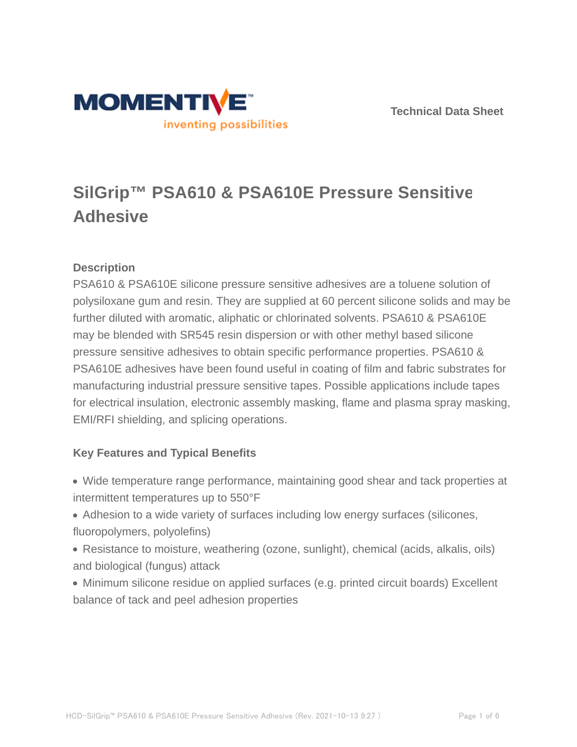



# **SilGrip™ PSA610 & PSA610E Pressure Sensitive Adhesive**

# **Description**

PSA610 & PSA610E silicone pressure sensitive adhesives are a toluene solution of polysiloxane gum and resin. They are supplied at 60 percent silicone solids and may be further diluted with aromatic, aliphatic or chlorinated solvents. PSA610 & PSA610E may be blended with SR545 resin dispersion or with other methyl based silicone pressure sensitive adhesives to obtain specific performance properties. PSA610 & PSA610E adhesives have been found useful in coating of film and fabric substrates for manufacturing industrial pressure sensitive tapes. Possible applications include tapes for electrical insulation, electronic assembly masking, flame and plasma spray masking, EMI/RFI shielding, and splicing operations.

# **Key Features and Typical Benefits**

- Wide temperature range performance, maintaining good shear and tack properties at intermittent temperatures up to 550°F
- Adhesion to a wide variety of surfaces including low energy surfaces (silicones, fluoropolymers, polyolefins)
- Resistance to moisture, weathering (ozone, sunlight), chemical (acids, alkalis, oils) and biological (fungus) attack
- Minimum silicone residue on applied surfaces (e.g. printed circuit boards) Excellent balance of tack and peel adhesion properties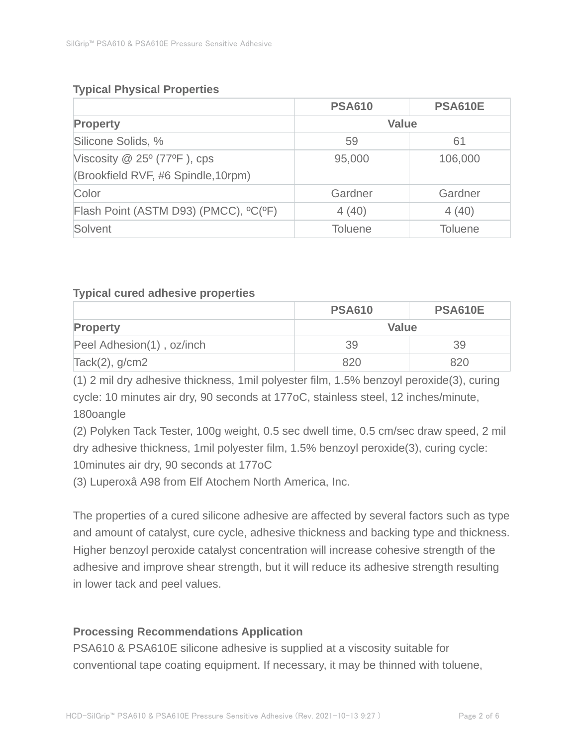# **Typical Physical Properties**

|                                       | <b>PSA610</b>  | <b>PSA610E</b> |
|---------------------------------------|----------------|----------------|
| <b>Property</b>                       | <b>Value</b>   |                |
| Silicone Solids, %                    | 59             | 61             |
| Viscosity $@$ 25 $°$ (77 $°$ F), cps  | 95,000         | 106,000        |
| (Brookfield RVF, #6 Spindle, 10rpm)   |                |                |
| Color                                 | Gardner        | Gardner        |
| Flash Point (ASTM D93) (PMCC), °C(°F) | 4(40)          | 4(40)          |
| Solvent                               | <b>Toluene</b> | <b>Toluene</b> |

### **Typical cured adhesive properties**

|                           | <b>PSA610</b> | <b>PSA610E</b> |
|---------------------------|---------------|----------------|
| <b>Property</b>           | Value         |                |
| Peel Adhesion(1), oz/inch | 39            | 39             |
| $Tack(2)$ , g/cm2         | 820           | 820            |

(1) 2 mil dry adhesive thickness, 1mil polyester film, 1.5% benzoyl peroxide(3), curing cycle: 10 minutes air dry, 90 seconds at 177oC, stainless steel, 12 inches/minute, 180oangle

(2) Polyken Tack Tester, 100g weight, 0.5 sec dwell time, 0.5 cm/sec draw speed, 2 mil dry adhesive thickness, 1mil polyester film, 1.5% benzoyl peroxide(3), curing cycle: 10minutes air dry, 90 seconds at 177oC

(3) Luperoxâ A98 from Elf Atochem North America, Inc.

The properties of a cured silicone adhesive are affected by several factors such as type and amount of catalyst, cure cycle, adhesive thickness and backing type and thickness. Higher benzoyl peroxide catalyst concentration will increase cohesive strength of the adhesive and improve shear strength, but it will reduce its adhesive strength resulting in lower tack and peel values.

# **Processing Recommendations Application**

PSA610 & PSA610E silicone adhesive is supplied at a viscosity suitable for conventional tape coating equipment. If necessary, it may be thinned with toluene,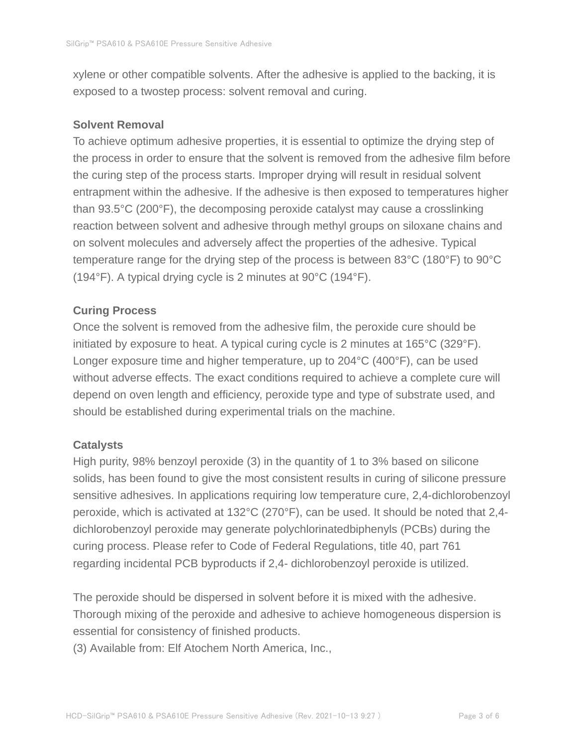xylene or other compatible solvents. After the adhesive is applied to the backing, it is exposed to a twostep process: solvent removal and curing.

#### **Solvent Removal**

To achieve optimum adhesive properties, it is essential to optimize the drying step of the process in order to ensure that the solvent is removed from the adhesive film before the curing step of the process starts. Improper drying will result in residual solvent entrapment within the adhesive. If the adhesive is then exposed to temperatures higher than 93.5°C (200°F), the decomposing peroxide catalyst may cause a crosslinking reaction between solvent and adhesive through methyl groups on siloxane chains and on solvent molecules and adversely affect the properties of the adhesive. Typical temperature range for the drying step of the process is between 83°C (180°F) to 90°C (194°F). A typical drying cycle is 2 minutes at 90°C (194°F).

### **Curing Process**

Once the solvent is removed from the adhesive film, the peroxide cure should be initiated by exposure to heat. A typical curing cycle is 2 minutes at 165°C (329°F). Longer exposure time and higher temperature, up to 204°C (400°F), can be used without adverse effects. The exact conditions required to achieve a complete cure will depend on oven length and efficiency, peroxide type and type of substrate used, and should be established during experimental trials on the machine.

### **Catalysts**

High purity, 98% benzoyl peroxide (3) in the quantity of 1 to 3% based on silicone solids, has been found to give the most consistent results in curing of silicone pressure sensitive adhesives. In applications requiring low temperature cure, 2,4-dichlorobenzoyl peroxide, which is activated at 132°C (270°F), can be used. It should be noted that 2,4 dichlorobenzoyl peroxide may generate polychlorinatedbiphenyls (PCBs) during the curing process. Please refer to Code of Federal Regulations, title 40, part 761 regarding incidental PCB byproducts if 2,4- dichlorobenzoyl peroxide is utilized.

The peroxide should be dispersed in solvent before it is mixed with the adhesive. Thorough mixing of the peroxide and adhesive to achieve homogeneous dispersion is essential for consistency of finished products.

(3) Available from: Elf Atochem North America, Inc.,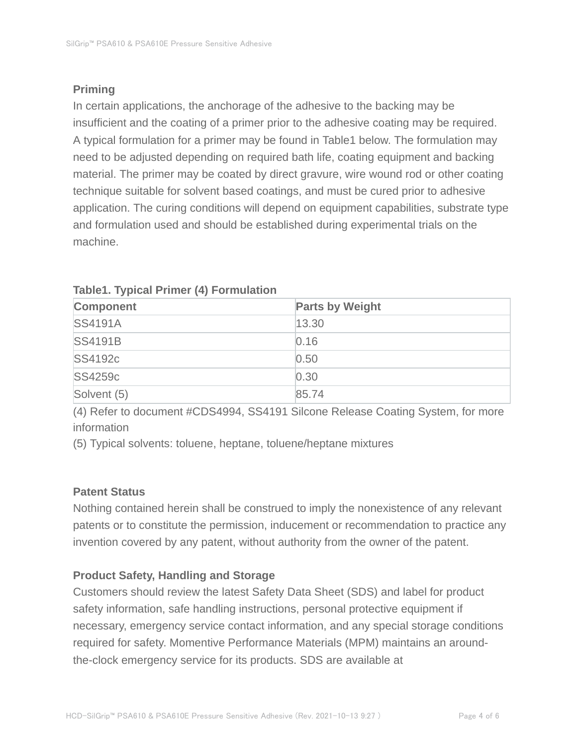# **Priming**

In certain applications, the anchorage of the adhesive to the backing may be insufficient and the coating of a primer prior to the adhesive coating may be required. A typical formulation for a primer may be found in Table1 below. The formulation may need to be adjusted depending on required bath life, coating equipment and backing material. The primer may be coated by direct gravure, wire wound rod or other coating technique suitable for solvent based coatings, and must be cured prior to adhesive application. The curing conditions will depend on equipment capabilities, substrate type and formulation used and should be established during experimental trials on the machine.

| <b>Component</b> | <b>Parts by Weight</b> |
|------------------|------------------------|
| <b>SS4191A</b>   | 13.30                  |
| <b>SS4191B</b>   | 0.16                   |
| <b>SS4192c</b>   | 0.50                   |
| SS4259c          | 0.30                   |
| Solvent (5)      | 85.74                  |

### **Table1. Typical Primer (4) Formulation**

(4) Refer to document #CDS4994, SS4191 Silcone Release Coating System, for more information

(5) Typical solvents: toluene, heptane, toluene/heptane mixtures

# **Patent Status**

Nothing contained herein shall be construed to imply the nonexistence of any relevant patents or to constitute the permission, inducement or recommendation to practice any invention covered by any patent, without authority from the owner of the patent.

# **Product Safety, Handling and Storage**

Customers should review the latest Safety Data Sheet (SDS) and label for product safety information, safe handling instructions, personal protective equipment if necessary, emergency service contact information, and any special storage conditions required for safety. Momentive Performance Materials (MPM) maintains an aroundthe-clock emergency service for its products. SDS are available at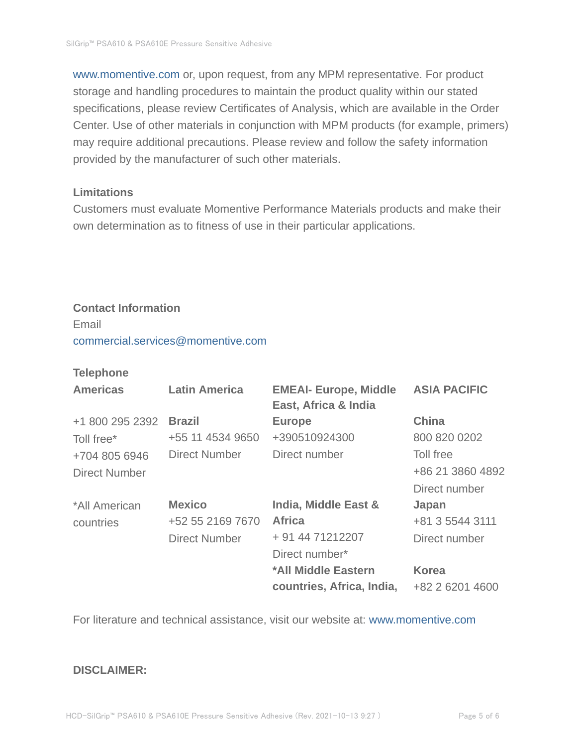www.momentive.com or, upon request, from any MPM representative. For product storage and handling procedures to maintain the product quality within our stated specifications, please review Certificates of Analysis, which are available in the Order Center. Use of other materials in conjunction with MPM products (for example, primers) may require additional precautions. Please review and follow the safety information provided by the manufacturer of such other materials.

#### **Limitations**

Customers must evaluate Momentive Performance Materials products and make their own determination as to fitness of use in their particular applications.

# **Contact Information**

Email commercial.services@momentive.com

#### **Telephone**

| <b>Americas</b> | <b>Latin America</b> | <b>EMEAI- Europe, Middle</b><br>East, Africa & India | <b>ASIA PACIFIC</b> |
|-----------------|----------------------|------------------------------------------------------|---------------------|
| +1 800 295 2392 | <b>Brazil</b>        | <b>Europe</b>                                        | <b>China</b>        |
| Toll free*      | +55 11 4534 9650     | +390510924300                                        | 800 820 0202        |
| +704 805 6946   | <b>Direct Number</b> | Direct number                                        | Toll free           |
| Direct Number   |                      |                                                      | +86 21 3860 4892    |
|                 |                      |                                                      | Direct number       |
| *All American   | <b>Mexico</b>        | <b>India, Middle East &amp;</b>                      | Japan               |
| countries       | +52 55 2169 7670     | <b>Africa</b>                                        | +81 3 5544 3111     |
|                 | <b>Direct Number</b> | + 91 44 71212207                                     | Direct number       |
|                 |                      | Direct number*                                       |                     |
|                 |                      | *All Middle Eastern                                  | <b>Korea</b>        |
|                 |                      | countries, Africa, India,                            | +82 2 6201 4600     |

For literature and technical assistance, visit our website at: www.momentive.com

#### **DISCLAIMER:**